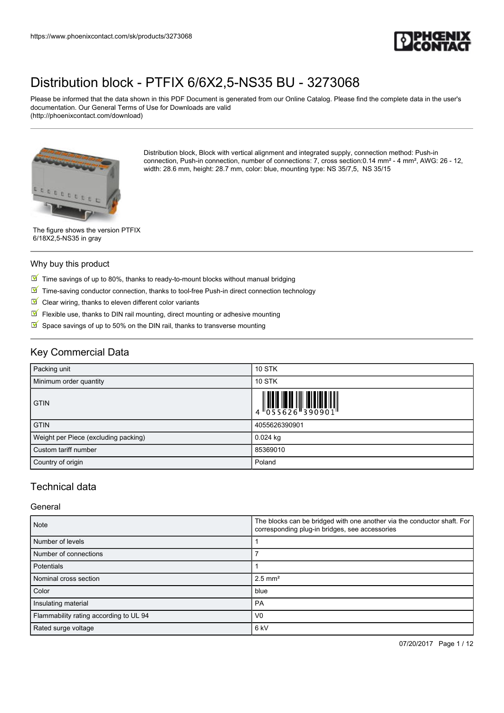

Please be informed that the data shown in this PDF Document is generated from our Online Catalog. Please find the complete data in the user's documentation. Our General Terms of Use for Downloads are valid (http://phoenixcontact.com/download)



Distribution block, Block with vertical alignment and integrated supply, connection method: Push-in connection, Push-in connection, number of connections: 7, cross section:0.14 mm² - 4 mm², AWG: 26 - 12, width: 28.6 mm, height: 28.7 mm, color: blue, mounting type: NS 35/7,5, NS 35/15

The figure shows the version PTFIX 6/18X2,5-NS35 in gray

#### Why buy this product

- $\boxed{\blacksquare}$  Time savings of up to 80%, thanks to ready-to-mount blocks without manual bridging
- $\boxed{\blacksquare}$  Time-saving conductor connection, thanks to tool-free Push-in direct connection technology
- $\blacksquare$  Clear wiring, thanks to eleven different color variants
- $\sqrt{}$ Flexible use, thanks to DIN rail mounting, direct mounting or adhesive mounting
- $\triangleright$  Space savings of up to 50% on the DIN rail, thanks to transverse mounting

## Key Commercial Data

| Packing unit                         | <b>10 STK</b>                                                                                                                                                                                                                                                                                                                  |
|--------------------------------------|--------------------------------------------------------------------------------------------------------------------------------------------------------------------------------------------------------------------------------------------------------------------------------------------------------------------------------|
| Minimum order quantity               | <b>10 STK</b>                                                                                                                                                                                                                                                                                                                  |
| <b>GTIN</b>                          | $\begin{array}{c} 1 & 0 & 0 & 0 \\ 0 & 0 & 0 & 0 \\ 0 & 0 & 0 & 0 \\ 0 & 0 & 0 & 0 \\ 0 & 0 & 0 & 0 \\ 0 & 0 & 0 & 0 \\ 0 & 0 & 0 & 0 \\ 0 & 0 & 0 & 0 \\ 0 & 0 & 0 & 0 \\ 0 & 0 & 0 & 0 \\ 0 & 0 & 0 & 0 \\ 0 & 0 & 0 & 0 \\ 0 & 0 & 0 & 0 \\ 0 & 0 & 0 & 0 & 0 \\ 0 & 0 & 0 & 0 & 0 \\ 0 & 0 & 0 & 0 & 0 \\ 0 & 0 & 0 & 0 &$ |
| <b>GTIN</b>                          | 4055626390901                                                                                                                                                                                                                                                                                                                  |
| Weight per Piece (excluding packing) | $0.024$ kg                                                                                                                                                                                                                                                                                                                     |
| Custom tariff number                 | 85369010                                                                                                                                                                                                                                                                                                                       |
| Country of origin                    | Poland                                                                                                                                                                                                                                                                                                                         |

## Technical data

#### General

| <b>Note</b>                            | The blocks can be bridged with one another via the conductor shaft. For<br>corresponding plug-in bridges, see accessories |  |
|----------------------------------------|---------------------------------------------------------------------------------------------------------------------------|--|
| Number of levels                       |                                                                                                                           |  |
| Number of connections                  |                                                                                                                           |  |
| Potentials                             |                                                                                                                           |  |
| Nominal cross section                  | $2.5$ mm <sup>2</sup>                                                                                                     |  |
| Color                                  | blue                                                                                                                      |  |
| Insulating material                    | PA                                                                                                                        |  |
| Flammability rating according to UL 94 | V <sub>0</sub>                                                                                                            |  |
| Rated surge voltage                    | 6 <sub>kV</sub>                                                                                                           |  |

07/20/2017 Page 1 / 12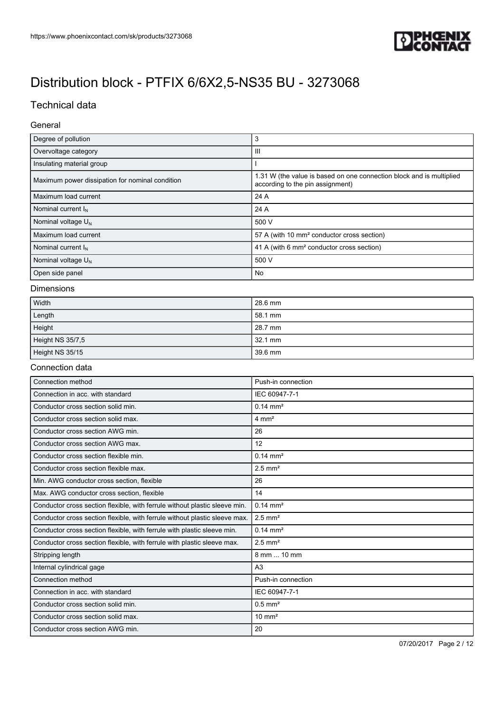

## Technical data

### General

| Degree of pollution                             | 3                                                                                                        |  |
|-------------------------------------------------|----------------------------------------------------------------------------------------------------------|--|
| Overvoltage category                            | Ш                                                                                                        |  |
| Insulating material group                       |                                                                                                          |  |
| Maximum power dissipation for nominal condition | 1.31 W (the value is based on one connection block and is multiplied<br>according to the pin assignment) |  |
| Maximum load current                            | 24 A                                                                                                     |  |
| Nominal current $I_N$                           | 24 A                                                                                                     |  |
| Nominal voltage $U_N$                           | 500 V                                                                                                    |  |
| Maximum load current                            | 57 A (with 10 mm <sup>2</sup> conductor cross section)                                                   |  |
| Nominal current $I_N$                           | 41 A (with 6 mm <sup>2</sup> conductor cross section)                                                    |  |
| Nominal voltage $U_N$                           | 500 V                                                                                                    |  |
| Open side panel                                 | No                                                                                                       |  |

#### Dimensions

| Width            | 28.6 mm |
|------------------|---------|
| Length           | 58.1 mm |
| Height           | 28.7 mm |
| Height NS 35/7,5 | 32.1 mm |
| Height NS 35/15  | 39.6 mm |

#### Connection data

| Connection method                                                          | Push-in connection    |
|----------------------------------------------------------------------------|-----------------------|
| Connection in acc. with standard                                           | IEC 60947-7-1         |
| Conductor cross section solid min.                                         | $0.14 \, \text{mm}^2$ |
| Conductor cross section solid max.                                         | $4 \text{ mm}^2$      |
| Conductor cross section AWG min.                                           | 26                    |
| Conductor cross section AWG max.                                           | 12                    |
| Conductor cross section flexible min.                                      | $0.14 \, \text{mm}^2$ |
| Conductor cross section flexible max.                                      | $2.5$ mm <sup>2</sup> |
| Min. AWG conductor cross section, flexible                                 | 26                    |
| Max. AWG conductor cross section, flexible                                 | 14                    |
| Conductor cross section flexible, with ferrule without plastic sleeve min. | $0.14 \text{ mm}^2$   |
| Conductor cross section flexible, with ferrule without plastic sleeve max. | $2.5$ mm <sup>2</sup> |
| Conductor cross section flexible, with ferrule with plastic sleeve min.    | $0.14 \text{ mm}^2$   |
| Conductor cross section flexible, with ferrule with plastic sleeve max.    | $2.5$ mm <sup>2</sup> |
| Stripping length                                                           | 8 mm  10 mm           |
| Internal cylindrical gage                                                  | A <sub>3</sub>        |
| Connection method                                                          | Push-in connection    |
| Connection in acc. with standard                                           | IEC 60947-7-1         |
| Conductor cross section solid min.                                         | $0.5$ mm <sup>2</sup> |
| Conductor cross section solid max.                                         | $10 \text{ mm}^2$     |
| Conductor cross section AWG min.                                           | 20                    |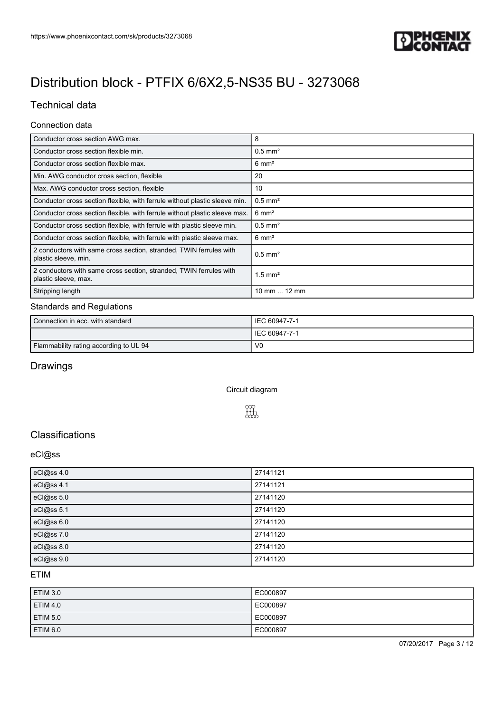

## Technical data

### Connection data

| Conductor cross section AWG max.                                                           | 8                     |
|--------------------------------------------------------------------------------------------|-----------------------|
| Conductor cross section flexible min.                                                      | $0.5$ mm <sup>2</sup> |
| Conductor cross section flexible max.                                                      | $6 \text{ mm}^2$      |
| Min. AWG conductor cross section, flexible                                                 | 20                    |
| Max. AWG conductor cross section, flexible                                                 | 10                    |
| Conductor cross section flexible, with ferrule without plastic sleeve min.                 | $0.5$ mm <sup>2</sup> |
| Conductor cross section flexible, with ferrule without plastic sleeve max.                 | $6 \text{ mm}^2$      |
| Conductor cross section flexible, with ferrule with plastic sleeve min.                    | $0.5$ mm <sup>2</sup> |
| Conductor cross section flexible, with ferrule with plastic sleeve max.                    | $6 \text{ mm}^2$      |
| 2 conductors with same cross section, stranded, TWIN ferrules with<br>plastic sleeve, min. | $0.5$ mm <sup>2</sup> |
| 2 conductors with same cross section, stranded, TWIN ferrules with<br>plastic sleeve, max. | $1.5$ mm <sup>2</sup> |
| Stripping length                                                                           | 10 mm  12 mm          |

### Standards and Regulations

| Connection in acc. with standard       | IEC 60947-7-1  |
|----------------------------------------|----------------|
|                                        | IEC 60947-7-1  |
| Flammability rating according to UL 94 | V <sub>0</sub> |

## Drawings

Circuit diagram



## **Classifications**

#### eCl@ss

| eCl@ss 4.0 | 27141121 |
|------------|----------|
| eCl@ss 4.1 | 27141121 |
| eCl@ss 5.0 | 27141120 |
| eCl@ss 5.1 | 27141120 |
| eCl@ss 6.0 | 27141120 |
| eCl@ss 7.0 | 27141120 |
| eCl@ss 8.0 | 27141120 |
| eCl@ss 9.0 | 27141120 |

#### ETIM

| ETIM 3.0 | EC000897 |
|----------|----------|
| ETIM 4.0 | EC000897 |
| ETIM 5.0 | EC000897 |
| ETIM 6.0 | EC000897 |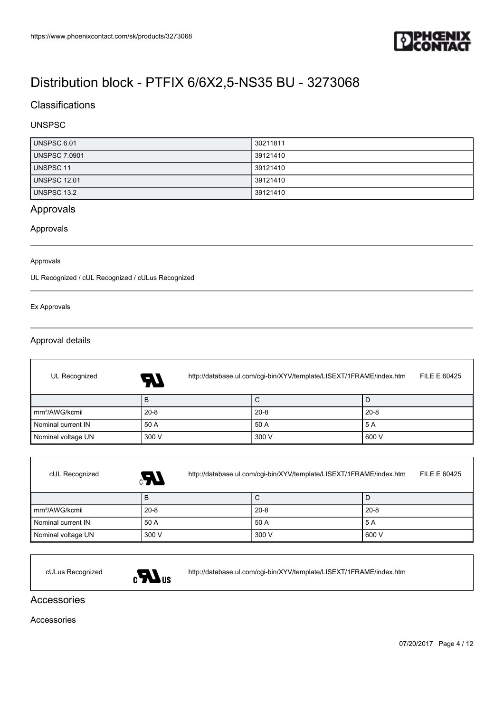

## **Classifications**

### UNSPSC

| UNSPSC 6.01          | 30211811 |
|----------------------|----------|
| <b>UNSPSC 7.0901</b> | 39121410 |
| UNSPSC 11            | 39121410 |
| <b>UNSPSC 12.01</b>  | 39121410 |
| <b>UNSPSC 13.2</b>   | 39121410 |

## Approvals

### Approvals

#### Approvals

UL Recognized / cUL Recognized / cULus Recognized

#### Ex Approvals

f

### Approval details

| UL Recognized              | http://database.ul.com/cgi-bin/XYV/template/LISEXT/1FRAME/index.htm<br>FILE E 60425<br><b>AT</b> |          |          |  |
|----------------------------|--------------------------------------------------------------------------------------------------|----------|----------|--|
|                            | в                                                                                                | С        |          |  |
| mm <sup>2</sup> /AWG/kcmil | $20 - 8$                                                                                         | $20 - 8$ | $20 - 8$ |  |
| Nominal current IN         | 50 A                                                                                             | 50 A     | 5 A      |  |
| Nominal voltage UN         | 300 V                                                                                            | 300 V    | 600 V    |  |

| cUL Recognized             | Æ,       | http://database.ul.com/cgi-bin/XYV/template/LISEXT/1FRAME/index.htm<br>FILE E 60425 |          |  |
|----------------------------|----------|-------------------------------------------------------------------------------------|----------|--|
|                            | B        | C                                                                                   |          |  |
| mm <sup>2</sup> /AWG/kcmil | $20 - 8$ | $20 - 8$                                                                            | $20 - 8$ |  |
| Nominal current IN         | 50 A     | 50 A                                                                                | 5 A      |  |
| Nominal voltage UN         | 300 V    | 300 V                                                                               | 600 V    |  |



cULus Recognized <http://database.ul.com/cgi-bin/XYV/template/LISEXT/1FRAME/index.htm>

### Accessories

Accessories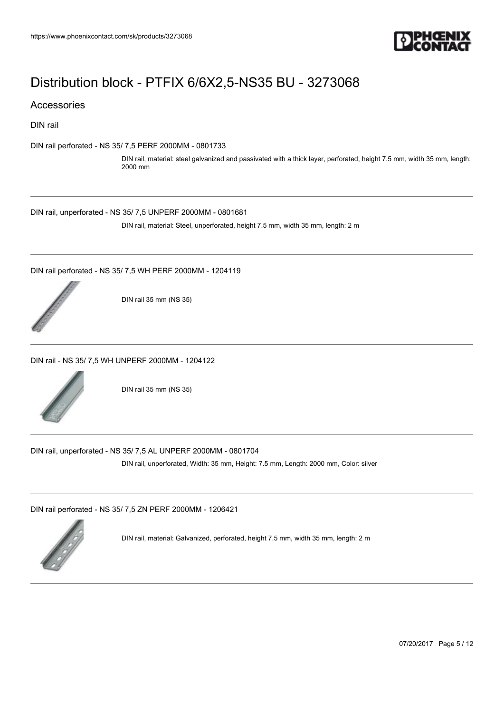

### Accessories

DIN rail

[DIN rail perforated - NS 35/ 7,5 PERF 2000MM - 0801733](https://www.phoenixcontact.com/sk/products/0801733)

DIN rail, material: steel galvanized and passivated with a thick layer, perforated, height 7.5 mm, width 35 mm, length: 2000 mm

[DIN rail, unperforated - NS 35/ 7,5 UNPERF 2000MM - 0801681](https://www.phoenixcontact.com/sk/products/0801681)

DIN rail, material: Steel, unperforated, height 7.5 mm, width 35 mm, length: 2 m

[DIN rail perforated - NS 35/ 7,5 WH PERF 2000MM - 1204119](https://www.phoenixcontact.com/sk/products/1204119)



DIN rail 35 mm (NS 35)

[DIN rail - NS 35/ 7,5 WH UNPERF 2000MM - 1204122](https://www.phoenixcontact.com/sk/products/1204122)



DIN rail 35 mm (NS 35)

[DIN rail, unperforated - NS 35/ 7,5 AL UNPERF 2000MM - 0801704](https://www.phoenixcontact.com/sk/products/0801704)

DIN rail, unperforated, Width: 35 mm, Height: 7.5 mm, Length: 2000 mm, Color: silver

[DIN rail perforated - NS 35/ 7,5 ZN PERF 2000MM - 1206421](https://www.phoenixcontact.com/sk/products/1206421)



DIN rail, material: Galvanized, perforated, height 7.5 mm, width 35 mm, length: 2 m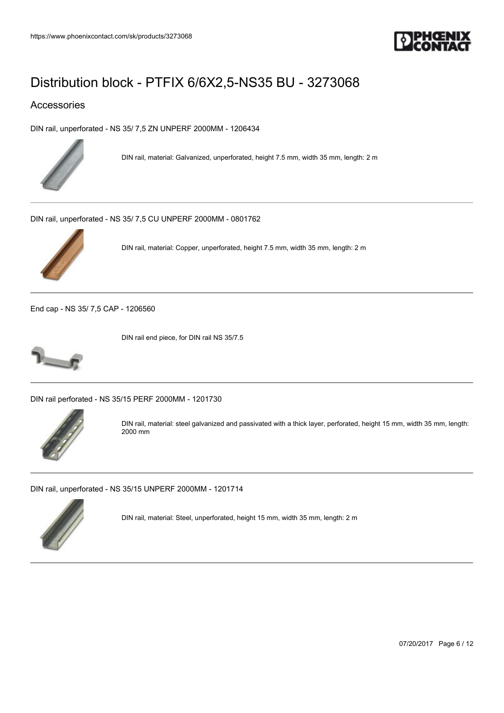

## Accessories

[DIN rail, unperforated - NS 35/ 7,5 ZN UNPERF 2000MM - 1206434](https://www.phoenixcontact.com/sk/products/1206434)



DIN rail, material: Galvanized, unperforated, height 7.5 mm, width 35 mm, length: 2 m

[DIN rail, unperforated - NS 35/ 7,5 CU UNPERF 2000MM - 0801762](https://www.phoenixcontact.com/sk/products/0801762)



DIN rail, material: Copper, unperforated, height 7.5 mm, width 35 mm, length: 2 m

[End cap - NS 35/ 7,5 CAP - 1206560](https://www.phoenixcontact.com/sk/products/1206560)



DIN rail end piece, for DIN rail NS 35/7.5

[DIN rail perforated - NS 35/15 PERF 2000MM - 1201730](https://www.phoenixcontact.com/sk/products/1201730)



DIN rail, material: steel galvanized and passivated with a thick layer, perforated, height 15 mm, width 35 mm, length: 2000 mm

[DIN rail, unperforated - NS 35/15 UNPERF 2000MM - 1201714](https://www.phoenixcontact.com/sk/products/1201714)



DIN rail, material: Steel, unperforated, height 15 mm, width 35 mm, length: 2 m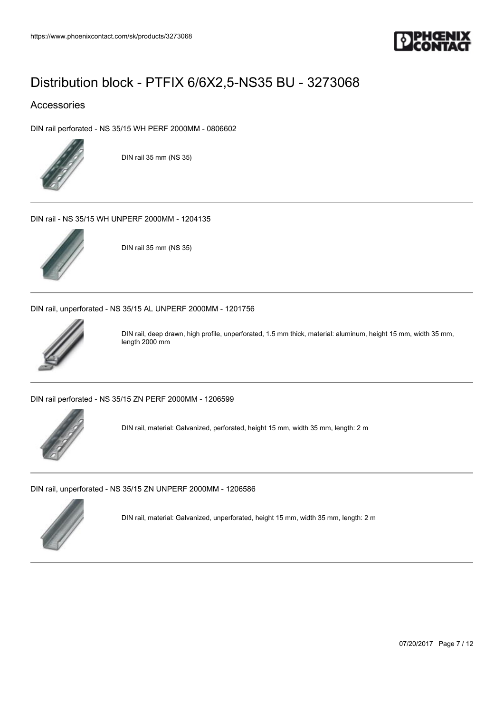

## Accessories

[DIN rail perforated - NS 35/15 WH PERF 2000MM - 0806602](https://www.phoenixcontact.com/sk/products/0806602)



DIN rail 35 mm (NS 35)

[DIN rail - NS 35/15 WH UNPERF 2000MM - 1204135](https://www.phoenixcontact.com/sk/products/1204135)



DIN rail 35 mm (NS 35)

[DIN rail, unperforated - NS 35/15 AL UNPERF 2000MM - 1201756](https://www.phoenixcontact.com/sk/products/1201756)



DIN rail, deep drawn, high profile, unperforated, 1.5 mm thick, material: aluminum, height 15 mm, width 35 mm, length 2000 mm

[DIN rail perforated - NS 35/15 ZN PERF 2000MM - 1206599](https://www.phoenixcontact.com/sk/products/1206599)



DIN rail, material: Galvanized, perforated, height 15 mm, width 35 mm, length: 2 m

[DIN rail, unperforated - NS 35/15 ZN UNPERF 2000MM - 1206586](https://www.phoenixcontact.com/sk/products/1206586)



DIN rail, material: Galvanized, unperforated, height 15 mm, width 35 mm, length: 2 m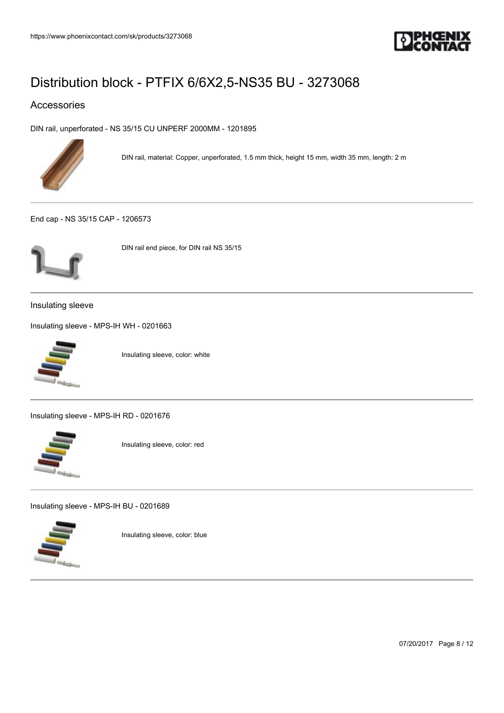

## Accessories

[DIN rail, unperforated - NS 35/15 CU UNPERF 2000MM - 1201895](https://www.phoenixcontact.com/sk/products/1201895)



DIN rail, material: Copper, unperforated, 1.5 mm thick, height 15 mm, width 35 mm, length: 2 m

[End cap - NS 35/15 CAP - 1206573](https://www.phoenixcontact.com/sk/products/1206573)



DIN rail end piece, for DIN rail NS 35/15

Insulating sleeve

[Insulating sleeve - MPS-IH WH - 0201663](https://www.phoenixcontact.com/sk/products/0201663)



Insulating sleeve, color: white

[Insulating sleeve - MPS-IH RD - 0201676](https://www.phoenixcontact.com/sk/products/0201676)



Insulating sleeve, color: red

[Insulating sleeve - MPS-IH BU - 0201689](https://www.phoenixcontact.com/sk/products/0201689)



Insulating sleeve, color: blue

07/20/2017 Page 8 / 12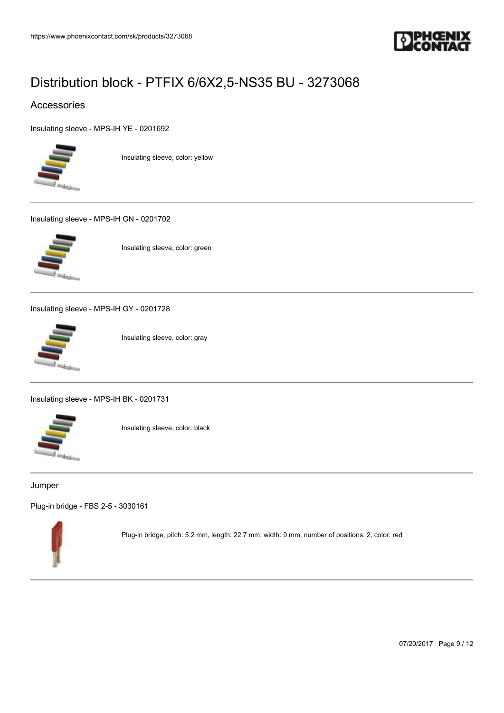

## Accessories

[Insulating sleeve - MPS-IH YE - 0201692](https://www.phoenixcontact.com/sk/products/0201692)



Insulating sleeve, color: yellow

[Insulating sleeve - MPS-IH GN - 0201702](https://www.phoenixcontact.com/sk/products/0201702)



Insulating sleeve, color: green

[Insulating sleeve - MPS-IH GY - 0201728](https://www.phoenixcontact.com/sk/products/0201728)



Insulating sleeve, color: gray

[Insulating sleeve - MPS-IH BK - 0201731](https://www.phoenixcontact.com/sk/products/0201731)



Insulating sleeve, color: black

#### Jumper

[Plug-in bridge - FBS 2-5 - 3030161](https://www.phoenixcontact.com/sk/products/3030161)



Plug-in bridge, pitch: 5.2 mm, length: 22.7 mm, width: 9 mm, number of positions: 2, color: red

07/20/2017 Page 9 / 12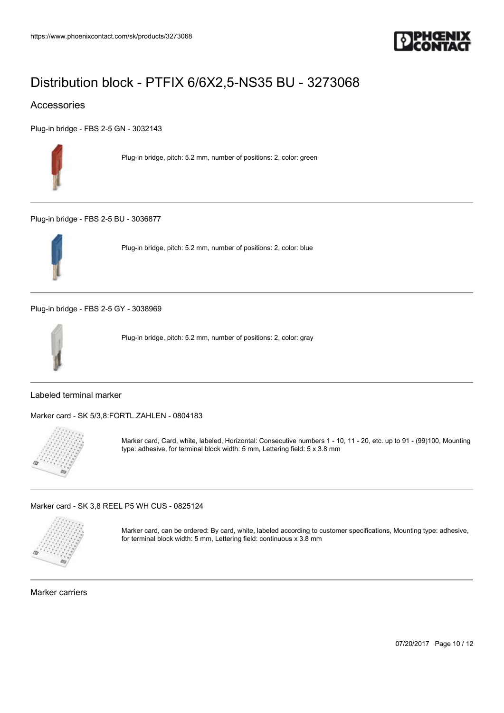

## Accessories

[Plug-in bridge - FBS 2-5 GN - 3032143](https://www.phoenixcontact.com/sk/products/3032143)



Plug-in bridge, pitch: 5.2 mm, number of positions: 2, color: green

[Plug-in bridge - FBS 2-5 BU - 3036877](https://www.phoenixcontact.com/sk/products/3036877)



Plug-in bridge, pitch: 5.2 mm, number of positions: 2, color: blue

[Plug-in bridge - FBS 2-5 GY - 3038969](https://www.phoenixcontact.com/sk/products/3038969)



Plug-in bridge, pitch: 5.2 mm, number of positions: 2, color: gray

### Labeled terminal marker

[Marker card - SK 5/3,8:FORTL.ZAHLEN - 0804183](https://www.phoenixcontact.com/sk/products/0804183)



Marker card, Card, white, labeled, Horizontal: Consecutive numbers 1 - 10, 11 - 20, etc. up to 91 - (99)100, Mounting type: adhesive, for terminal block width: 5 mm, Lettering field: 5 x 3.8 mm

[Marker card - SK 3,8 REEL P5 WH CUS - 0825124](https://www.phoenixcontact.com/sk/products/0825124)



Marker card, can be ordered: By card, white, labeled according to customer specifications, Mounting type: adhesive, for terminal block width: 5 mm, Lettering field: continuous x 3.8 mm

Marker carriers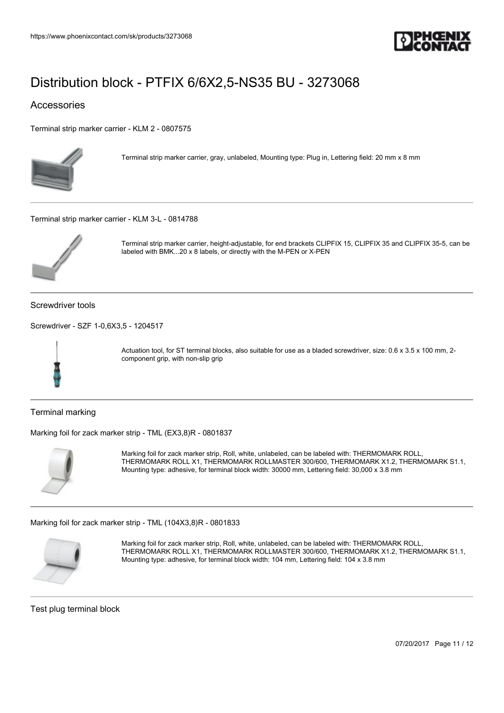

## Accessories

[Terminal strip marker carrier - KLM 2 - 0807575](https://www.phoenixcontact.com/sk/products/0807575)



Terminal strip marker carrier, gray, unlabeled, Mounting type: Plug in, Lettering field: 20 mm x 8 mm

[Terminal strip marker carrier - KLM 3-L - 0814788](https://www.phoenixcontact.com/sk/products/0814788)



Terminal strip marker carrier, height-adjustable, for end brackets CLIPFIX 15, CLIPFIX 35 and CLIPFIX 35-5, can be labeled with BMK...20 x 8 labels, or directly with the M-PEN or X-PEN

Screwdriver tools

[Screwdriver - SZF 1-0,6X3,5 - 1204517](https://www.phoenixcontact.com/sk/products/1204517)



Actuation tool, for ST terminal blocks, also suitable for use as a bladed screwdriver, size: 0.6 x 3.5 x 100 mm, 2component grip, with non-slip grip

Terminal marking

[Marking foil for zack marker strip - TML \(EX3,8\)R - 0801837](https://www.phoenixcontact.com/sk/products/0801837)



Marking foil for zack marker strip, Roll, white, unlabeled, can be labeled with: THERMOMARK ROLL, THERMOMARK ROLL X1, THERMOMARK ROLLMASTER 300/600, THERMOMARK X1.2, THERMOMARK S1.1, Mounting type: adhesive, for terminal block width: 30000 mm, Lettering field: 30,000 x 3.8 mm

[Marking foil for zack marker strip - TML \(104X3,8\)R - 0801833](https://www.phoenixcontact.com/sk/products/0801833)



Marking foil for zack marker strip, Roll, white, unlabeled, can be labeled with: THERMOMARK ROLL, THERMOMARK ROLL X1, THERMOMARK ROLLMASTER 300/600, THERMOMARK X1.2, THERMOMARK S1.1, Mounting type: adhesive, for terminal block width: 104 mm, Lettering field: 104 x 3.8 mm

Test plug terminal block